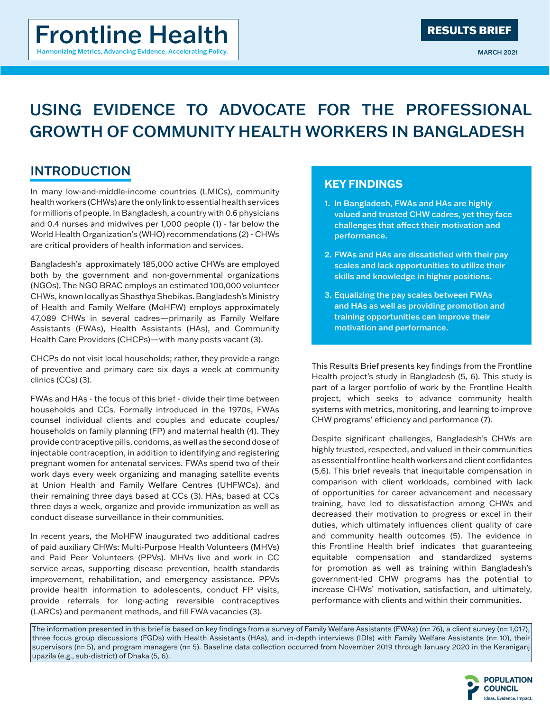# USING EVIDENCE TO ADVOCATE FOR THE PROFESSIONAL GROWTH OF COMMUNITY HEALTH WORKERS IN BANGLADESH

### INTRODUCTION

In many low-and-middle-income countries (LMICs), community health workers (CHWs) are the only link to essential health services for millions of people. In Bangladesh, a country with 0.6 physicians and 0.4 nurses and midwives per 1,000 people (1) - far below the World Health Organization's (WHO) recommendations (2) - CHWs are critical providers of health information and services.

Bangladesh's approximately 185,000 active CHWs are employed both by the government and non-governmental organizations (NGOs). The NGO BRAC employs an estimated 100,000 volunteer CHWs, known locally as Shasthya Shebikas. Bangladesh's Ministry of Health and Family Welfare (MoHFW) employs approximately 47,089 CHWs in several cadres—primarily as Family Welfare Assistants (FWAs), Health Assistants (HAs), and Community Health Care Providers (CHCPs)—with many posts vacant (3).

CHCPs do not visit local households; rather, they provide a range of preventive and primary care six days a week at community clinics (CCs) (3).

FWAs and HAs - the focus of this brief - divide their time between households and CCs. Formally introduced in the 1970s, FWAs counsel individual clients and couples and educate couples/ households on family planning (FP) and maternal health (4). They provide contraceptive pills, condoms, as well as the second dose of injectable contraception, in addition to identifying and registering pregnant women for antenatal services. FWAs spend two of their work days every week organizing and managing satellite events at Union Health and Family Welfare Centres (UHFWCs), and their remaining three days based at CCs (3). HAs, based at CCs three days a week, organize and provide immunization as well as conduct disease surveillance in their communities.

In recent years, the MoHFW inaugurated two additional cadres of paid auxiliary CHWs: Multi-Purpose Health Volunteers (MHVs) and Paid Peer Volunteers (PPVs). MHVs live and work in CC service areas, supporting disease prevention, health standards improvement, rehabilitation, and emergency assistance. PPVs provide health information to adolescents, conduct FP visits, provide referrals for long-acting reversible contraceptives (LARCs) and permanent methods, and fill FWA vacancies (3).

### **KEY FINDINGS**

- 1. In Bangladesh, FWAs and HAs are highly valued and trusted CHW cadres, yet they face challenges that affect their motivation and performance.
- 2. FWAs and HAs are dissatisfied with their pay scales and lack opportunities to utilize their skills and knowledge in higher positions.
- 3. Equalizing the pay scales between FWAs and HAs as well as providing promotion and training opportunities can improve their motivation and performance.

This Results Brief presents key findings from the Frontline Health project's study in Bangladesh (5, 6). This study is part of a larger portfolio of work by the Frontline Health project, which seeks to advance community health systems with metrics, monitoring, and learning to improve CHW programs' efficiency and performance (7).

Despite significant challenges, Bangladesh's CHWs are highly trusted, respected, and valued in their communities as essential frontline health workers and client confidantes (5,6). This brief reveals that inequitable compensation in comparison with client workloads, combined with lack of opportunities for career advancement and necessary training, have led to dissatisfaction among CHWs and decreased their motivation to progress or excel in their duties, which ultimately influences client quality of care and community health outcomes (5). The evidence in this Frontline Health brief indicates that guaranteeing equitable compensation and standardized systems for promotion as well as training within Bangladesh's government-led CHW programs has the potential to increase CHWs' motivation, satisfaction, and ultimately, performance with clients and within their communities.

The information presented in this brief is based on key findings from a survey of Family Welfare Assistants (FWAs) (n= 76), a client survey (n= 1,017), three focus group discussions (FGDs) with Health Assistants (HAs), and in-depth interviews (IDIs) with Family Welfare Assistants (n= 10), their supervisors (n= 5), and program managers (n= 5). Baseline data collection occurred from November 2019 through January 2020 in the Keraniganj upazila (e.g., sub-district) of Dhaka (5, 6).

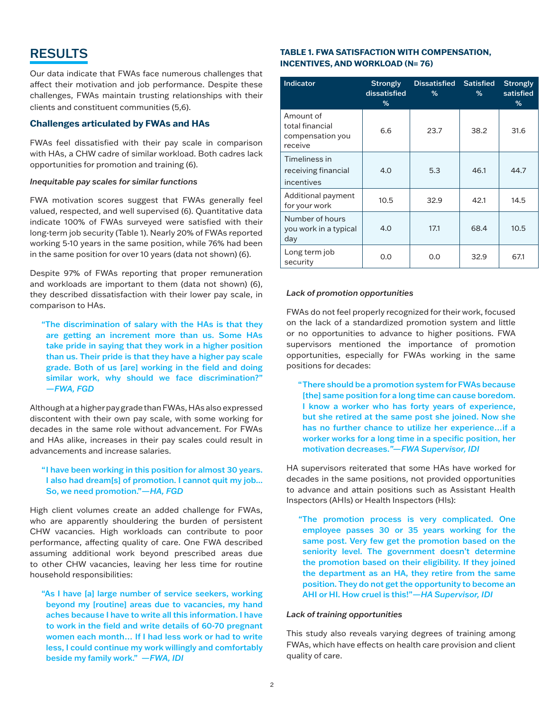### RESULTS

Our data indicate that FWAs face numerous challenges that affect their motivation and job performance. Despite these challenges, FWAs maintain trusting relationships with their clients and constituent communities (5,6).

#### **Challenges articulated by FWAs and HAs**

FWAs feel dissatisfied with their pay scale in comparison with HAs, a CHW cadre of similar workload. Both cadres lack opportunities for promotion and training (6).

#### *Inequitable pay scales for similar functions*

FWA motivation scores suggest that FWAs generally feel valued, respected, and well supervised (6). Quantitative data indicate 100% of FWAs surveyed were satisfied with their long-term job security (Table 1). Nearly 20% of FWAs reported working 5-10 years in the same position, while 76% had been in the same position for over 10 years (data not shown) (6).

Despite 97% of FWAs reporting that proper remuneration and workloads are important to them (data not shown) (6), they described dissatisfaction with their lower pay scale, in comparison to HAs.

"The discrimination of salary with the HAs is that they are getting an increment more than us. Some HAs take pride in saying that they work in a higher position than us. Their pride is that they have a higher pay scale grade. Both of us [are] working in the field and doing similar work, why should we face discrimination?" *—FWA, FGD*

Although at a higher pay grade than FWAs, HAs also expressed discontent with their own pay scale, with some working for decades in the same role without advancement. For FWAs and HAs alike, increases in their pay scales could result in advancements and increase salaries.

#### "I have been working in this position for almost 30 years. I also had dream[s] of promotion. I cannot quit my job... So, we need promotion."*—HA, FGD*

High client volumes create an added challenge for FWAs, who are apparently shouldering the burden of persistent CHW vacancies. High workloads can contribute to poor performance, affecting quality of care. One FWA described assuming additional work beyond prescribed areas due to other CHW vacancies, leaving her less time for routine household responsibilities:

"As I have [a] large number of service seekers, working beyond my [routine] areas due to vacancies, my hand aches because I have to write all this information. I have to work in the field and write details of 60-70 pregnant women each month… If I had less work or had to write less, I could continue my work willingly and comfortably beside my family work." *—FWA, IDI*

#### **TABLE 1. FWA SATISFACTION WITH COMPENSATION, INCENTIVES, AND WORKLOAD (N= 76)**

| <b>Indicator</b>                                            | <b>Strongly</b><br>dissatisfied<br>$\%$ | <b>Dissatisfied</b><br>$\%$ | <b>Satisfied</b><br>$\%$ | <b>Strongly</b><br>satisfied<br>$\%$ |
|-------------------------------------------------------------|-----------------------------------------|-----------------------------|--------------------------|--------------------------------------|
| Amount of<br>total financial<br>compensation you<br>receive | 6.6                                     | 23.7                        | 38.2                     | 31.6                                 |
| Timeliness in<br>receiving financial<br>incentives          | 4.0                                     | 5.3                         | 46.1                     | 44.7                                 |
| Additional payment<br>for your work                         | 10.5                                    | 32.9                        | 42.1                     | 14.5                                 |
| Number of hours<br>you work in a typical<br>day             | 4.0                                     | 17.1                        | 68.4                     | 10.5                                 |
| Long term job<br>security                                   | 0.0                                     | 0.0                         | 32.9                     | 67.1                                 |

#### *Lack of promotion opportunities*

FWAs do not feel properly recognized for their work, focused on the lack of a standardized promotion system and little or no opportunities to advance to higher positions. FWA supervisors mentioned the importance of promotion opportunities, especially for FWAs working in the same positions for decades:

"There should be a promotion system for FWAs because [the] same position for a long time can cause boredom. I know a worker who has forty years of experience, but she retired at the same post she joined. Now she has no further chance to utilize her experience…if a worker works for a long time in a specific position, her motivation decreases.*"—FWA Supervisor, IDI*

HA supervisors reiterated that some HAs have worked for decades in the same positions, not provided opportunities to advance and attain positions such as Assistant Health Inspectors (AHIs) or Health Inspectors (HIs):

"The promotion process is very complicated. One employee passes 30 or 35 years working for the same post. Very few get the promotion based on the seniority level. The government doesn't determine the promotion based on their eligibility. If they joined the department as an HA, they retire from the same position. They do not get the opportunity to become an AHI or HI. How cruel is this!"*—HA Supervisor, IDI*

#### *Lack of training opportunities*

This study also reveals varying degrees of training among FWAs, which have effects on health care provision and client quality of care.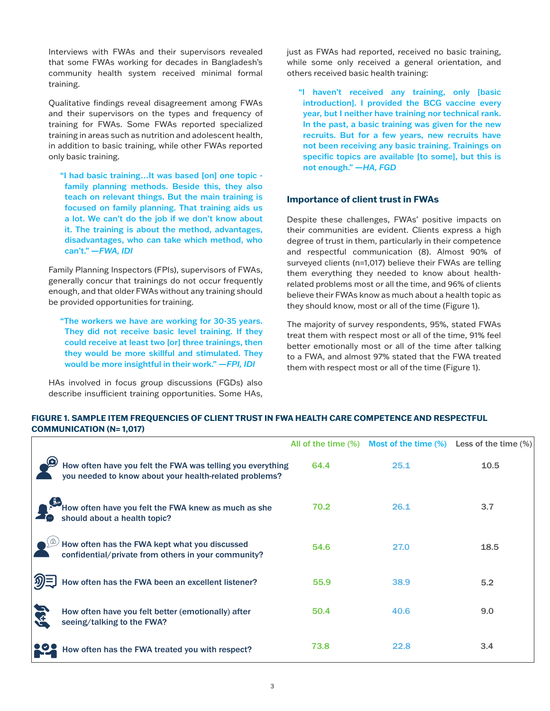Interviews with FWAs and their supervisors revealed that some FWAs working for decades in Bangladesh's community health system received minimal formal training.

Qualitative findings reveal disagreement among FWAs and their supervisors on the types and frequency of training for FWAs. Some FWAs reported specialized training in areas such as nutrition and adolescent health, in addition to basic training, while other FWAs reported only basic training.

"I had basic training…It was based [on] one topic family planning methods. Beside this, they also teach on relevant things. But the main training is focused on family planning. That training aids us a lot. We can't do the job if we don't know about it. The training is about the method, advantages, disadvantages, who can take which method, who can't." **—***FWA, IDI*

Family Planning Inspectors (FPIs), supervisors of FWAs, generally concur that trainings do not occur frequently enough, and that older FWAs without any training should be provided opportunities for training.

"The workers we have are working for 30-35 years. They did not receive basic level training. If they could receive at least two [or] three trainings, then they would be more skillful and stimulated. They would be more insightful in their work." **—***FPI, IDI*

HAs involved in focus group discussions (FGDs) also describe insufficient training opportunities. Some HAs,

just as FWAs had reported, received no basic training, while some only received a general orientation, and others received basic health training:

"I haven't received any training, only [basic introduction]. I provided the BCG vaccine every year, but I neither have training nor technical rank. In the past, a basic training was given for the new recruits. But for a few years, new recruits have not been receiving any basic training. Trainings on specific topics are available [to some], but this is not enough." **—***HA, FGD*

#### **Importance of client trust in FWAs**

Despite these challenges, FWAs' positive impacts on their communities are evident. Clients express a high degree of trust in them, particularly in their competence and respectful communication (8). Almost 90% of surveyed clients (n=1,017) believe their FWAs are telling them everything they needed to know about healthrelated problems most or all the time, and 96% of clients believe their FWAs know as much about a health topic as they should know, most or all of the time (Figure 1).

The majority of survey respondents, 95%, stated FWAs treat them with respect most or all of the time, 91% feel better emotionally most or all of the time after talking to a FWA, and almost 97% stated that the FWA treated them with respect most or all of the time (Figure 1).

#### **FIGURE 1. SAMPLE ITEM FREQUENCIES OF CLIENT TRUST IN FWA HEALTH CARE COMPETENCE AND RESPECTFUL COMMUNICATION (N= 1,017)**

|  |                                                                                                                      |      | All of the time $%$ Most of the time $%$ Less of the time $%$ |      |
|--|----------------------------------------------------------------------------------------------------------------------|------|---------------------------------------------------------------|------|
|  | How often have you felt the FWA was telling you everything<br>you needed to know about your health-related problems? | 64.4 | 25.1                                                          | 10.5 |
|  | How often have you felt the FWA knew as much as she<br>should about a health topic?                                  | 70.2 | 26.1                                                          | 3.7  |
|  | How often has the FWA kept what you discussed<br>confidential/private from others in your community?                 | 54.6 | 27.0                                                          | 18.5 |
|  | How often has the FWA been an excellent listener?                                                                    | 55.9 | 38.9                                                          | 5.2  |
|  | How often have you felt better (emotionally) after<br>seeing/talking to the FWA?                                     | 50.4 | 40.6                                                          | 9.0  |
|  | How often has the FWA treated you with respect?                                                                      | 73.8 | 22.8                                                          | 3.4  |